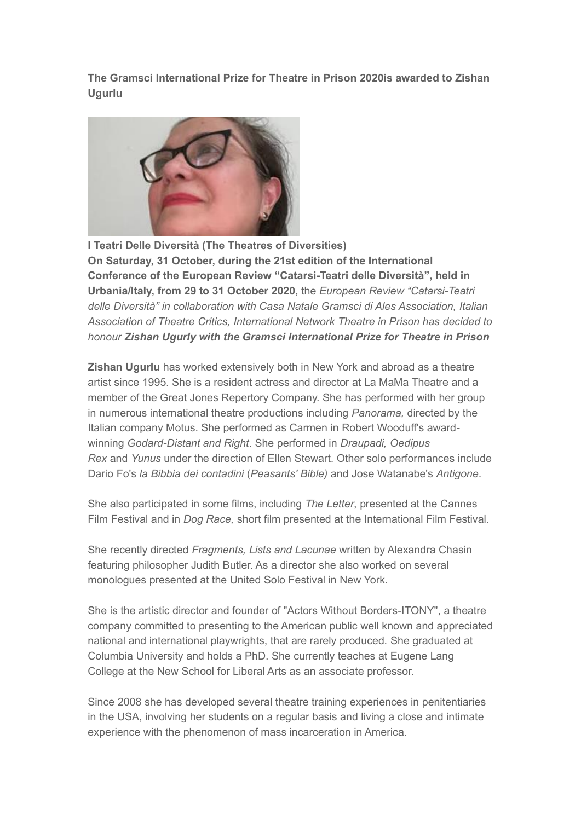**The Gramsci International Prize for Theatre in Prison 2020is awarded to Zishan Ugurlu**



**I Teatri Delle Diversità (The Theatres of Diversities) On Saturday, 31 October, during the 21st edition of the International Conference of the European Review "Catarsi-Teatri delle Diversità", held in Urbania/Italy, from 29 to 31 October 2020,** the *European Review "Catarsi-Teatri delle Diversità" in collaboration with Casa Natale Gramsci di Ales Association, Italian Association of Theatre Critics, International Network Theatre in Prison has decided to honour Zishan Ugurly with the Gramsci International Prize for Theatre in Prison*

**Zishan Ugurlu** has worked extensively both in New York and abroad as a theatre artist since 1995. She is a resident actress and director at La MaMa Theatre and a member of the Great Jones Repertory Company. She has performed with her group in numerous international theatre productions including *Panorama,* directed by the Italian company Motus. She performed as Carmen in Robert Wooduff's awardwinning *Godard-Distant and Right*. She performed in *Draupadi, Oedipus Rex* and *Yunus* under the direction of Ellen Stewart. Other solo performances include Dario Fo's *la Bibbia dei contadini* (*Peasants' Bible)* and Jose Watanabe's *Antigone*.

She also participated in some films, including *The Letter*, presented at the Cannes Film Festival and in *Dog Race,* short film presented at the International Film Festival.

She recently directed *Fragments, Lists and Lacunae* written by Alexandra Chasin featuring philosopher Judith Butler. As a director she also worked on several monologues presented at the United Solo Festival in New York.

She is the artistic director and founder of "Actors Without Borders-ITONY", a theatre company committed to presenting to the American public well known and appreciated national and international playwrights, that are rarely produced. She graduated at Columbia University and holds a PhD. She currently teaches at Eugene Lang College at the New School for Liberal Arts as an associate professor.

Since 2008 she has developed several theatre training experiences in penitentiaries in the USA, involving her students on a regular basis and living a close and intimate experience with the phenomenon of mass incarceration in America.